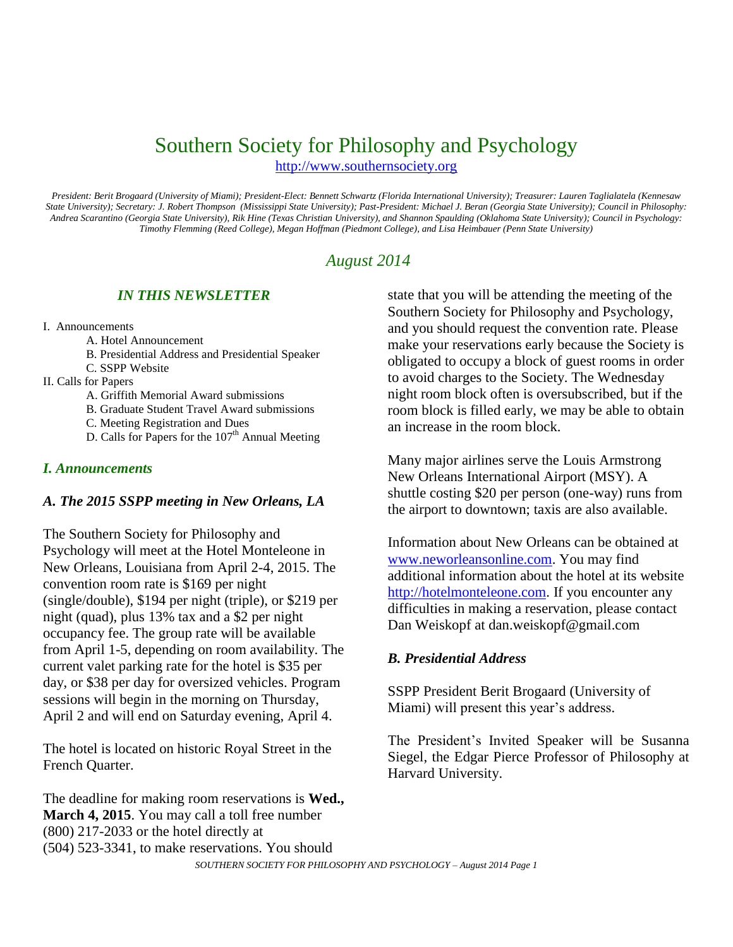# Southern Society for Philosophy and Psychology

[http://www.southernsociety.org](http://www.southernsociety.org/)

*President: Berit Brogaard (University of Miami); President-Elect: Bennett Schwartz (Florida International University); Treasurer: Lauren Taglialatela (Kennesaw State University); Secretary: J. Robert Thompson (Mississippi State University); Past-President: Michael J. Beran (Georgia State University); Council in Philosophy: Andrea Scarantino (Georgia State University), Rik Hine (Texas Christian University), and Shannon Spaulding (Oklahoma State University); Council in Psychology: Timothy Flemming (Reed College), Megan Hoffman (Piedmont College), and Lisa Heimbauer (Penn State University)*

## *August 2014*

### *IN THIS NEWSLETTER*

- I. Announcements
	- A. Hotel Announcement
	- B. Presidential Address and Presidential Speaker
	- C. SSPP Website
- II. Calls for Papers
	- A. Griffith Memorial Award submissions
	- B. Graduate Student Travel Award submissions
	- C. Meeting Registration and Dues
	- D. Calls for Papers for the 107<sup>th</sup> Annual Meeting

#### *I. Announcements*

#### *A. The 2015 SSPP meeting in New Orleans, LA*

The Southern Society for Philosophy and Psychology will meet at the Hotel Monteleone in New Orleans, Louisiana from April 2-4, 2015. The convention room rate is \$169 per night (single/double), \$194 per night (triple), or \$219 per night (quad), plus 13% tax and a \$2 per night occupancy fee. The group rate will be available from April 1-5, depending on room availability. The current valet parking rate for the hotel is \$35 per day, or \$38 per day for oversized vehicles. Program sessions will begin in the morning on Thursday, April 2 and will end on Saturday evening, April 4.

The hotel is located on historic Royal Street in the French Quarter.

The deadline for making room reservations is **Wed., March 4, 2015**. You may call a toll free number (800) 217-2033 or the hotel directly at (504) 523-3341, to make reservations. You should

state that you will be attending the meeting of the Southern Society for Philosophy and Psychology, and you should request the convention rate. Please make your reservations early because the Society is obligated to occupy a block of guest rooms in order to avoid charges to the Society. The Wednesday night room block often is oversubscribed, but if the room block is filled early, we may be able to obtain an increase in the room block.

Many major airlines serve the Louis Armstrong New Orleans International Airport (MSY). A shuttle costing \$20 per person (one-way) runs from the airport to downtown; taxis are also available.

Information about New Orleans can be obtained at [www.neworleansonline.com.](http://www.neworleansonline.com/) You may find additional information about the hotel at its website [http://hotelmonteleone.com.](http://hotelmonteleone.com/) If you encounter any difficulties in making a reservation, please contact Dan Weiskopf at dan.weiskopf@gmail.com

### *B. Presidential Address*

SSPP President Berit Brogaard (University of Miami) will present this year's address.

The President's Invited Speaker will be Susanna Siegel, the Edgar Pierce Professor of Philosophy at Harvard University.

*SOUTHERN SOCIETY FOR PHILOSOPHY AND PSYCHOLOGY – August 2014 Page 1*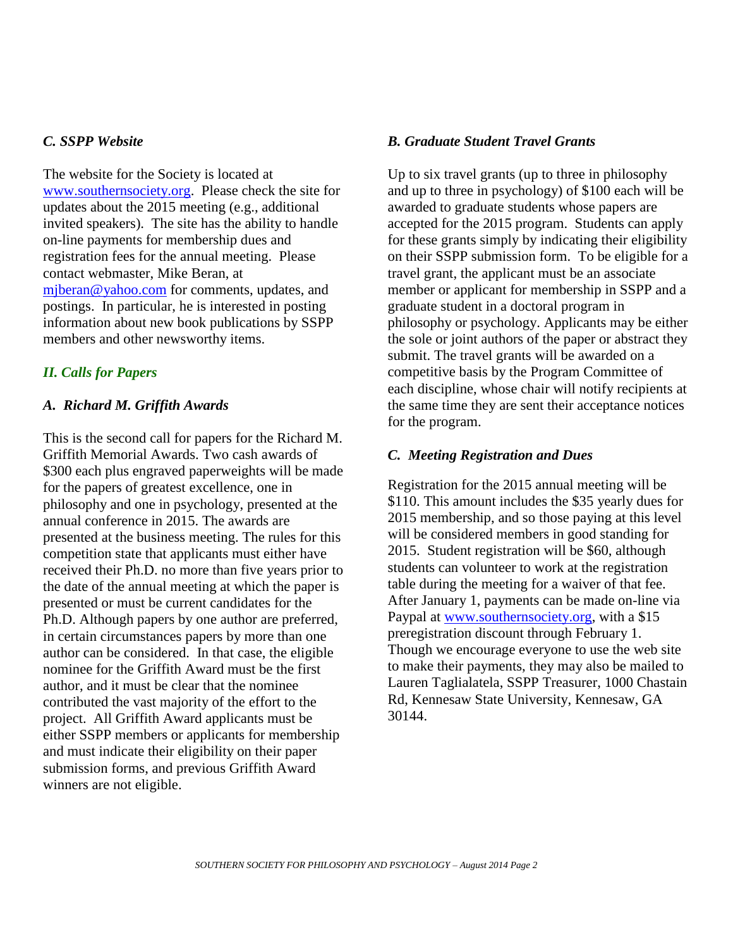### *C. SSPP Website*

The website for the Society is located at [www.southernsociety.org.](http://www.southernsociety.org/) Please check the site for updates about the 2015 meeting (e.g., additional invited speakers). The site has the ability to handle on-line payments for membership dues and registration fees for the annual meeting. Please contact webmaster, Mike Beran, at [mjberan@yahoo.com](mailto:mjberan@yahoo.com) for comments, updates, and postings. In particular, he is interested in posting information about new book publications by SSPP members and other newsworthy items.

### *II. Calls for Papers*

### *A. Richard M. Griffith Awards*

This is the second call for papers for the Richard M. Griffith Memorial Awards. Two cash awards of \$300 each plus engraved paperweights will be made for the papers of greatest excellence, one in philosophy and one in psychology, presented at the annual conference in 2015. The awards are presented at the business meeting. The rules for this competition state that applicants must either have received their Ph.D. no more than five years prior to the date of the annual meeting at which the paper is presented or must be current candidates for the Ph.D. Although papers by one author are preferred, in certain circumstances papers by more than one author can be considered. In that case, the eligible nominee for the Griffith Award must be the first author, and it must be clear that the nominee contributed the vast majority of the effort to the project. All Griffith Award applicants must be either SSPP members or applicants for membership and must indicate their eligibility on their paper submission forms, and previous Griffith Award winners are not eligible.

### *B. Graduate Student Travel Grants*

Up to six travel grants (up to three in philosophy and up to three in psychology) of \$100 each will be awarded to graduate students whose papers are accepted for the 2015 program. Students can apply for these grants simply by indicating their eligibility on their SSPP submission form. To be eligible for a travel grant, the applicant must be an associate member or applicant for membership in SSPP and a graduate student in a doctoral program in philosophy or psychology. Applicants may be either the sole or joint authors of the paper or abstract they submit. The travel grants will be awarded on a competitive basis by the Program Committee of each discipline, whose chair will notify recipients at the same time they are sent their acceptance notices for the program.

### *C. Meeting Registration and Dues*

Registration for the 2015 annual meeting will be \$110. This amount includes the \$35 yearly dues for 2015 membership, and so those paying at this level will be considered members in good standing for 2015. Student registration will be \$60, although students can volunteer to work at the registration table during the meeting for a waiver of that fee. After January 1, payments can be made on-line via Paypal at [www.southernsociety.org,](http://www.southernsociety.org/) with a \$15 preregistration discount through February 1. Though we encourage everyone to use the web site to make their payments, they may also be mailed to Lauren Taglialatela, SSPP Treasurer, 1000 Chastain Rd, Kennesaw State University, Kennesaw, GA 30144.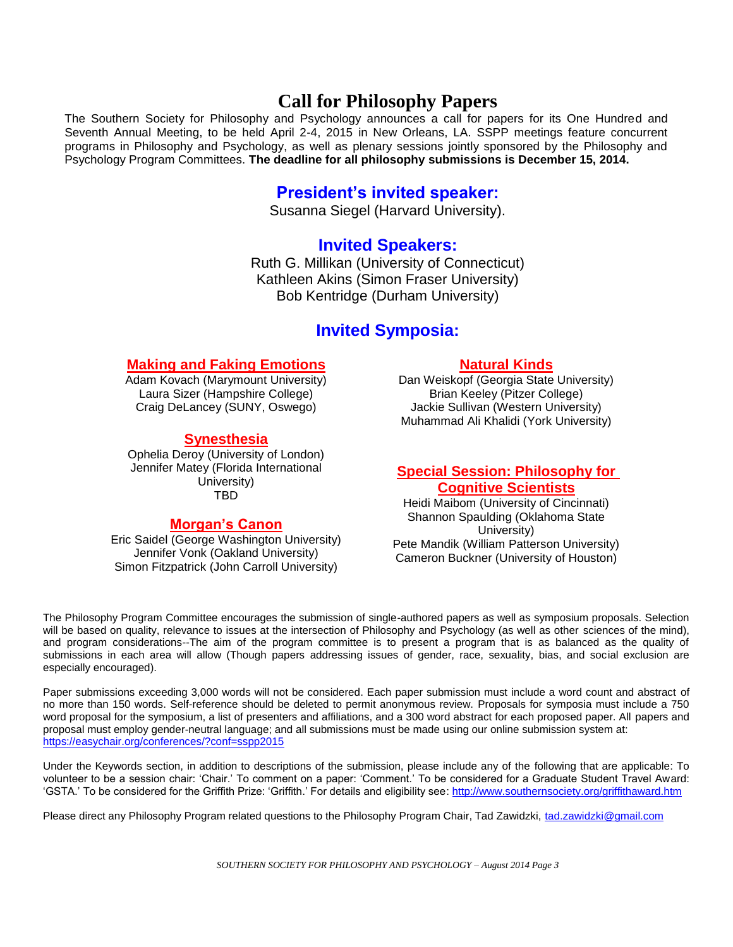# **Call for Philosophy Papers**

The Southern Society for Philosophy and Psychology announces a call for papers for its One Hundred and Seventh Annual Meeting, to be held April 2-4, 2015 in New Orleans, LA. SSPP meetings feature concurrent programs in Philosophy and Psychology, as well as plenary sessions jointly sponsored by the Philosophy and Psychology Program Committees. **The deadline for all philosophy submissions is December 15, 2014.**

### **President's invited speaker:**

Susanna Siegel (Harvard University).

## **Invited Speakers:**

Ruth G. Millikan (University of Connecticut) Kathleen Akins (Simon Fraser University) Bob Kentridge (Durham University)

## **Invited Symposia:**

### **Making and Faking Emotions**

Adam Kovach (Marymount University) Laura Sizer (Hampshire College) Craig DeLancey (SUNY, Oswego)

#### **Synesthesia**

Ophelia Deroy (University of London) Jennifer Matey (Florida International University) TBD

### **Morgan's Canon**

Eric Saidel (George Washington University) Jennifer Vonk (Oakland University) Simon Fitzpatrick (John Carroll University)

### **Natural Kinds**

Dan Weiskopf (Georgia State University) Brian Keeley (Pitzer College) Jackie Sullivan (Western University) Muhammad Ali Khalidi (York University)

#### **Special Session: Philosophy for Cognitive Scientists**

Heidi Maibom (University of Cincinnati) Shannon Spaulding (Oklahoma State University) Pete Mandik (William Patterson University) Cameron Buckner (University of Houston)

The Philosophy Program Committee encourages the submission of single-authored papers as well as symposium proposals. Selection will be based on quality, relevance to issues at the intersection of Philosophy and Psychology (as well as other sciences of the mind), and program considerations--The aim of the program committee is to present a program that is as balanced as the quality of submissions in each area will allow (Though papers addressing issues of gender, race, sexuality, bias, and social exclusion are especially encouraged).

Paper submissions exceeding 3,000 words will not be considered. Each paper submission must include a word count and abstract of no more than 150 words. Self-reference should be deleted to permit anonymous review. Proposals for symposia must include a 750 word proposal for the symposium, a list of presenters and affiliations, and a 300 word abstract for each proposed paper. All papers and proposal must employ gender-neutral language; and all submissions must be made using our online submission system at: <https://easychair.org/conferences/?conf=sspp2015>

Under the Keywords section, in addition to descriptions of the submission, please include any of the following that are applicable: To volunteer to be a session chair: 'Chair.' To comment on a paper: 'Comment.' To be considered for a Graduate Student Travel Award: 'GSTA.' To be considered for the Griffith Prize: 'Griffith.' For details and eligibility see[: http://www.southernsociety.org/griffithaward.htm](http://www.southernsociety.org/griffithaward.htm)

Please direct any Philosophy Program related questions to the Philosophy Program Chair, Tad Zawidzki, [tad.zawidzki@gmail.com](mailto:tad.zawidzki@gmail.com)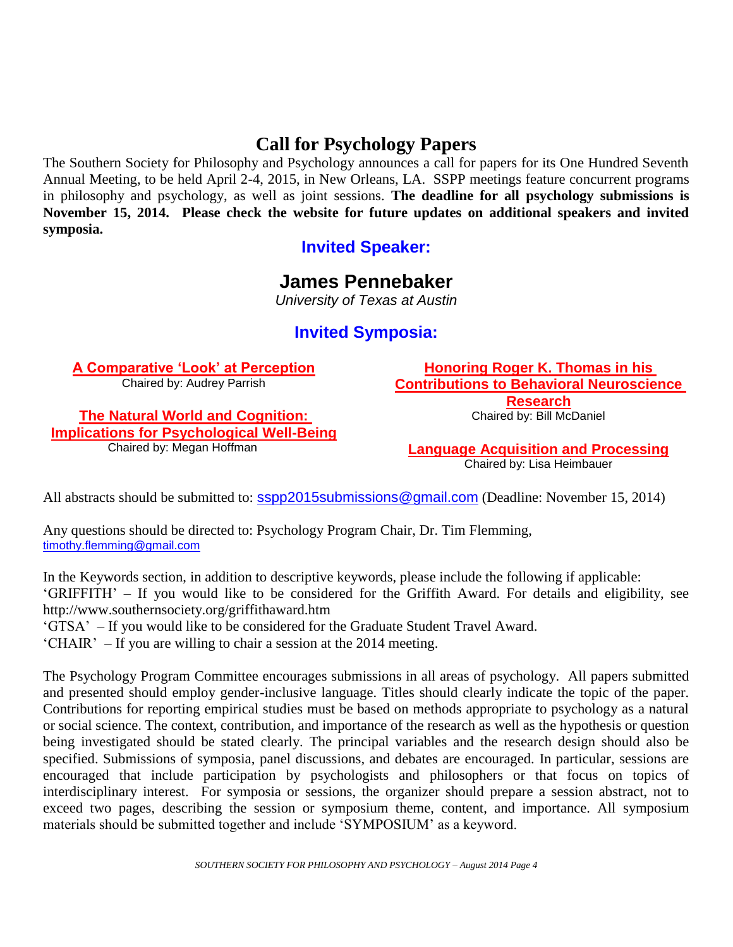# **Call for Psychology Papers**

The Southern Society for Philosophy and Psychology announces a call for papers for its One Hundred Seventh Annual Meeting, to be held April 2-4, 2015, in New Orleans, LA. SSPP meetings feature concurrent programs in philosophy and psychology, as well as joint sessions. **The deadline for all psychology submissions is November 15, 2014. Please check the website for future updates on additional speakers and invited symposia.**

## **Invited Speaker:**

# **James Pennebaker**

*University of Texas at Austin*

## **Invited Symposia:**

**A Comparative 'Look' at Perception** Chaired by: Audrey Parrish

**The Natural World and Cognition: Implications for Psychological Well-Being** Chaired by: Megan Hoffman

**Honoring Roger K. Thomas in his Contributions to Behavioral Neuroscience Research**

Chaired by: Bill McDaniel

**Language Acquisition and Processing** Chaired by: Lisa Heimbauer

All abstracts should be submitted to: [sspp2015submissions@gmail.com](mailto:sspp2015submissions@gmail.com) (Deadline: November 15, 2014)

Any questions should be directed to: Psychology Program Chair, Dr. Tim Flemming, [timothy.flemming@gmail.com](mailto:timothy.flemming@gmail.com)

In the Keywords section, in addition to descriptive keywords, please include the following if applicable: 'GRIFFITH' – If you would like to be considered for the Griffith Award. For details and eligibility, see http://www.southernsociety.org/griffithaward.htm

'GTSA' – If you would like to be considered for the Graduate Student Travel Award.

'CHAIR' – If you are willing to chair a session at the 2014 meeting.

The Psychology Program Committee encourages submissions in all areas of psychology. All papers submitted and presented should employ gender-inclusive language. Titles should clearly indicate the topic of the paper. Contributions for reporting empirical studies must be based on methods appropriate to psychology as a natural or social science. The context, contribution, and importance of the research as well as the hypothesis or question being investigated should be stated clearly. The principal variables and the research design should also be specified. Submissions of symposia, panel discussions, and debates are encouraged. In particular, sessions are encouraged that include participation by psychologists and philosophers or that focus on topics of interdisciplinary interest. For symposia or sessions, the organizer should prepare a session abstract, not to exceed two pages, describing the session or symposium theme, content, and importance. All symposium materials should be submitted together and include 'SYMPOSIUM' as a keyword.

*SOUTHERN SOCIETY FOR PHILOSOPHY AND PSYCHOLOGY – August 2014 Page 4*